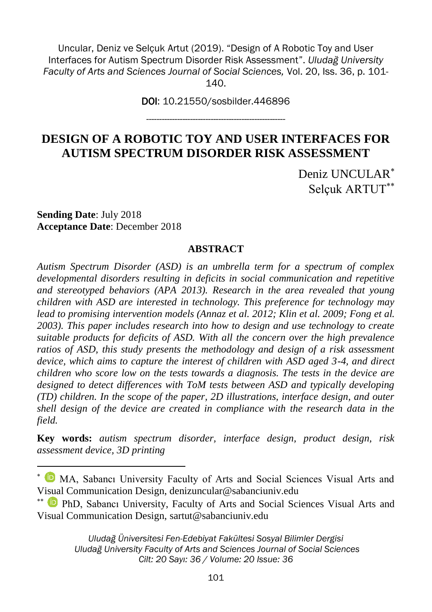Uncular, Deniz ve Selçuk Artut (2019). "Design of A Robotic Toy and User Interfaces for Autism Spectrum Disorder Risk Assessment". *Uludağ University Faculty of Arts and Sciences Journal of Social Sciences,* Vol. 20, Iss. 36, p. 101-  $140.$ 

> DOI: 10.21550/sosbilder.446896 ------------------------------------------------------

## **DESIGN OF A ROBOTIC TOY AND USER INTERFACES FOR AUTISM SPECTRUM DISORDER RISK ASSESSMENT**

Deniz UNCULAR<sup>\*</sup> Selçuk ARTUT

**Sending Date**: July 2018 **Acceptance Date**: December 2018

1

#### **ABSTRACT**

*Autism Spectrum Disorder (ASD) is an umbrella term for a spectrum of complex developmental disorders resulting in deficits in social communication and repetitive and stereotyped behaviors (APA 2013). Research in the area revealed that young children with ASD are interested in technology. This preference for technology may lead to promising intervention models (Annaz et al. 2012; Klin et al. 2009; Fong et al. 2003). This paper includes research into how to design and use technology to create suitable products for deficits of ASD. With all the concern over the high prevalence ratios of ASD, this study presents the methodology and design of a risk assessment device, which aims to capture the interest of children with ASD aged 3-4, and direct children who score low on the tests towards a diagnosis. The tests in the device are designed to detect differences with ToM tests between ASD and typically developing (TD) children. In the scope of the paper, 2D illustrations, interface design, and outer shell design of the device are created in compliance with the research data in the field.*

**Key words:** *autism spectrum disorder, interface design, product design, risk assessment device, 3D printing*

MA, Sabancı University Faculty of Arts and Social Sciences Visual Arts and Visual Communication Design, denizuncular@sabanciuniv.edu

PhD, Sabancı University, Faculty of Arts and Social Sciences Visual Arts and Visual Communication Design, sartut@sabanciuniv.edu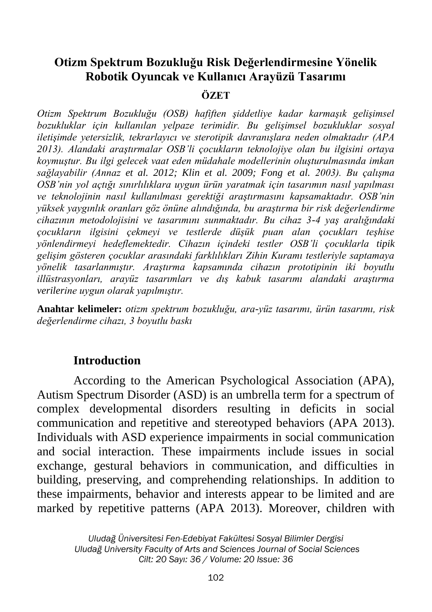## **Otizm Spektrum Bozukluğu Risk Değerlendirmesine Yönelik Robotik Oyuncak ve Kullanıcı Arayüzü Tasarımı**

#### **ÖZET**

*Otizm Spektrum Bozukluğu (OSB) hafiften şiddetliye kadar karmaşık gelişimsel bozukluklar için kullanılan yelpaze terimidir. Bu gelişimsel bozukluklar sosyal iletişimde yetersizlik, tekrarlayıcı ve sterotipik davranışlara neden olmaktadır (APA 2013). Alandaki araştırmalar OSB'li çocukların teknolojiye olan bu ilgisini ortaya koymuştur. Bu ilgi gelecek vaat eden müdahale modellerinin oluşturulmasında imkan sağlayabilir (Annaz et al. 2012; Klin et al. 2009; Fong et al. 2003). Bu çalışma OSB'nin yol açtığı sınırlılıklara uygun ürün yaratmak için tasarımın nasıl yapılması ve teknolojinin nasıl kullanılması gerektiği araştırmasını kapsamaktadır. OSB'nin yüksek yaygınlık oranları göz önüne alındığında, bu araştırma bir risk değerlendirme cihazının metodolojisini ve tasarımını sunmaktadır. Bu cihaz 3-4 yaş aralığındaki çocukların ilgisini çekmeyi ve testlerde düşük puan alan çocukları teşhise yönlendirmeyi hedeflemektedir. Cihazın içindeki testler OSB'li çocuklarla tipik gelişim gösteren çocuklar arasındaki farklılıkları Zihin Kuramı testleriyle saptamaya yönelik tasarlanmıştır. Araştırma kapsamında cihazın prototipinin iki boyutlu illüstrasyonları, arayüz tasarımları ve dış kabuk tasarımı alandaki araştırma verilerine uygun olarak yapılmıştır.*

**Anahtar kelimeler:** *otizm spektrum bozukluğu, ara-yüz tasarımı, ürün tasarımı, risk değerlendirme cihazı, 3 boyutlu baskı*

#### **Introduction**

According to the American Psychological Association (APA), Autism Spectrum Disorder (ASD) is an umbrella term for a spectrum of complex developmental disorders resulting in deficits in social communication and repetitive and stereotyped behaviors (APA 2013). Individuals with ASD experience impairments in social communication and social interaction. These impairments include issues in social exchange, gestural behaviors in communication, and difficulties in building, preserving, and comprehending relationships. In addition to these impairments, behavior and interests appear to be limited and are marked by repetitive patterns (APA 2013). Moreover, children with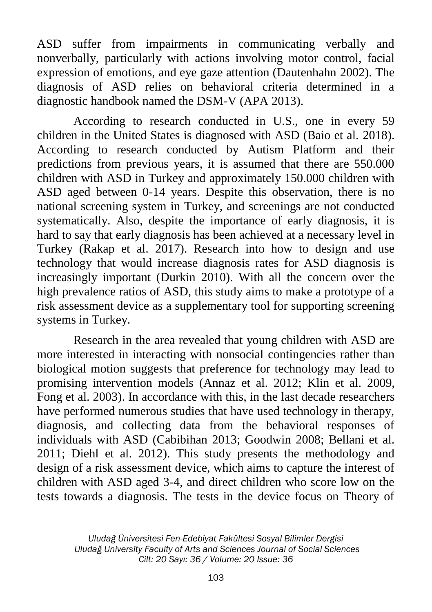ASD suffer from impairments in communicating verbally and nonverbally, particularly with actions involving motor control, facial expression of emotions, and eye gaze attention (Dautenhahn 2002). The diagnosis of ASD relies on behavioral criteria determined in a diagnostic handbook named the DSM-V (APA 2013).

According to research conducted in U.S., one in every 59 children in the United States is diagnosed with ASD (Baio et al. 2018). According to research conducted by Autism Platform and their predictions from previous years, it is assumed that there are 550.000 children with ASD in Turkey and approximately 150.000 children with ASD aged between 0-14 years. Despite this observation, there is no national screening system in Turkey, and screenings are not conducted systematically. Also, despite the importance of early diagnosis, it is hard to say that early diagnosis has been achieved at a necessary level in Turkey (Rakap et al. 2017). Research into how to design and use technology that would increase diagnosis rates for ASD diagnosis is increasingly important (Durkin 2010). With all the concern over the high prevalence ratios of ASD, this study aims to make a prototype of a risk assessment device as a supplementary tool for supporting screening systems in Turkey.

Research in the area revealed that young children with ASD are more interested in interacting with nonsocial contingencies rather than biological motion suggests that preference for technology may lead to promising intervention models (Annaz et al. 2012; Klin et al. 2009, Fong et al. 2003). In accordance with this, in the last decade researchers have performed numerous studies that have used technology in therapy, diagnosis, and collecting data from the behavioral responses of individuals with ASD (Cabibihan 2013; Goodwin 2008; Bellani et al. 2011; Diehl et al. 2012). This study presents the methodology and design of a risk assessment device, which aims to capture the interest of children with ASD aged 3-4, and direct children who score low on the tests towards a diagnosis. The tests in the device focus on Theory of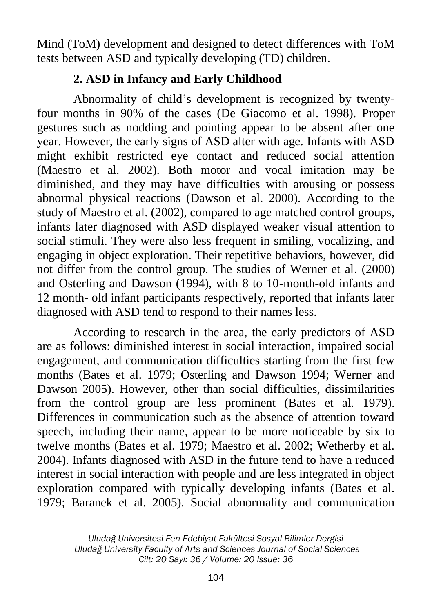Mind (ToM) development and designed to detect differences with ToM tests between ASD and typically developing (TD) children.

# **2. ASD in Infancy and Early Childhood**

Abnormality of child's development is recognized by twentyfour months in 90% of the cases (De Giacomo et al. 1998). Proper gestures such as nodding and pointing appear to be absent after one year. However, the early signs of ASD alter with age. Infants with ASD might exhibit restricted eye contact and reduced social attention (Maestro et al. 2002). Both motor and vocal imitation may be diminished, and they may have difficulties with arousing or possess abnormal physical reactions (Dawson et al. 2000). According to the study of Maestro et al. (2002), compared to age matched control groups, infants later diagnosed with ASD displayed weaker visual attention to social stimuli. They were also less frequent in smiling, vocalizing, and engaging in object exploration. Their repetitive behaviors, however, did not differ from the control group. The studies of Werner et al. (2000) and Osterling and Dawson (1994), with 8 to 10-month-old infants and 12 month- old infant participants respectively, reported that infants later diagnosed with ASD tend to respond to their names less.

According to research in the area, the early predictors of ASD are as follows: diminished interest in social interaction, impaired social engagement, and communication difficulties starting from the first few months (Bates et al. 1979; Osterling and Dawson 1994; Werner and Dawson 2005). However, other than social difficulties, dissimilarities from the control group are less prominent (Bates et al. 1979). Differences in communication such as the absence of attention toward speech, including their name, appear to be more noticeable by six to twelve months (Bates et al. 1979; Maestro et al. 2002; Wetherby et al. 2004). Infants diagnosed with ASD in the future tend to have a reduced interest in social interaction with people and are less integrated in object exploration compared with typically developing infants (Bates et al. 1979; Baranek et al. 2005). Social abnormality and communication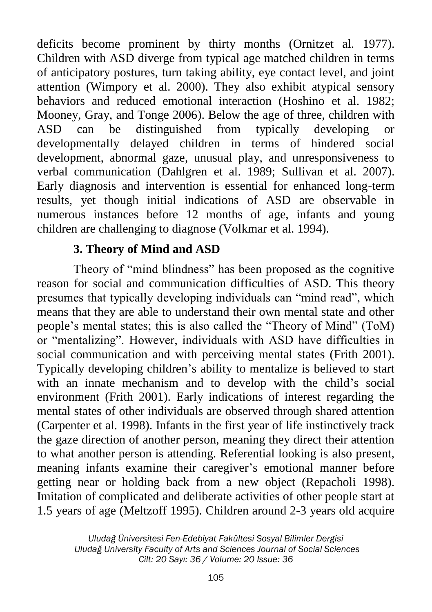deficits become prominent by thirty months (Ornitzet al. 1977). Children with ASD diverge from typical age matched children in terms of anticipatory postures, turn taking ability, eye contact level, and joint attention (Wimpory et al. 2000). They also exhibit atypical sensory behaviors and reduced emotional interaction (Hoshino et al. 1982; Mooney, Gray, and Tonge 2006). Below the age of three, children with ASD can be distinguished from typically developing or developmentally delayed children in terms of hindered social development, abnormal gaze, unusual play, and unresponsiveness to verbal communication (Dahlgren et al. 1989; Sullivan et al. 2007). Early diagnosis and intervention is essential for enhanced long-term results, yet though initial indications of ASD are observable in numerous instances before 12 months of age, infants and young children are challenging to diagnose (Volkmar et al. 1994).

### **3. Theory of Mind and ASD**

Theory of "mind blindness" has been proposed as the cognitive reason for social and communication difficulties of ASD. This theory presumes that typically developing individuals can "mind read", which means that they are able to understand their own mental state and other people's mental states; this is also called the "Theory of Mind" (ToM) or "mentalizing". However, individuals with ASD have difficulties in social communication and with perceiving mental states (Frith 2001). Typically developing children's ability to mentalize is believed to start with an innate mechanism and to develop with the child's social environment (Frith 2001). Early indications of interest regarding the mental states of other individuals are observed through shared attention (Carpenter et al. 1998). Infants in the first year of life instinctively track the gaze direction of another person, meaning they direct their attention to what another person is attending. Referential looking is also present, meaning infants examine their caregiver's emotional manner before getting near or holding back from a new object (Repacholi 1998). Imitation of complicated and deliberate activities of other people start at 1.5 years of age (Meltzoff 1995). Children around 2-3 years old acquire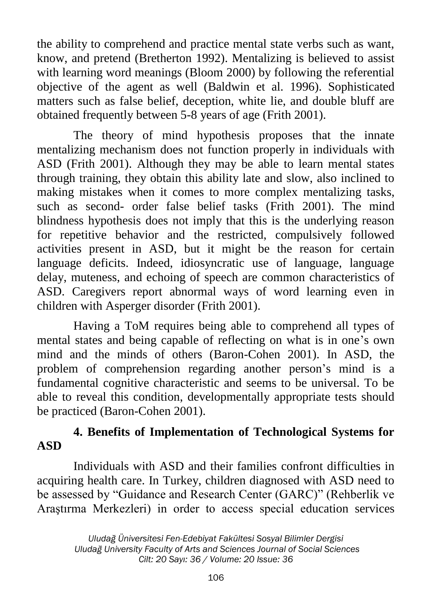the ability to comprehend and practice mental state verbs such as want, know, and pretend (Bretherton 1992). Mentalizing is believed to assist with learning word meanings (Bloom 2000) by following the referential objective of the agent as well (Baldwin et al. 1996). Sophisticated matters such as false belief, deception, white lie, and double bluff are obtained frequently between 5-8 years of age (Frith 2001).

The theory of mind hypothesis proposes that the innate mentalizing mechanism does not function properly in individuals with ASD (Frith 2001). Although they may be able to learn mental states through training, they obtain this ability late and slow, also inclined to making mistakes when it comes to more complex mentalizing tasks, such as second- order false belief tasks (Frith 2001). The mind blindness hypothesis does not imply that this is the underlying reason for repetitive behavior and the restricted, compulsively followed activities present in ASD, but it might be the reason for certain language deficits. Indeed, idiosyncratic use of language, language delay, muteness, and echoing of speech are common characteristics of ASD. Caregivers report abnormal ways of word learning even in children with Asperger disorder (Frith 2001).

Having a ToM requires being able to comprehend all types of mental states and being capable of reflecting on what is in one's own mind and the minds of others (Baron-Cohen 2001). In ASD, the problem of comprehension regarding another person's mind is a fundamental cognitive characteristic and seems to be universal. To be able to reveal this condition, developmentally appropriate tests should be practiced (Baron-Cohen 2001).

# **4. Benefits of Implementation of Technological Systems for ASD**

Individuals with ASD and their families confront difficulties in acquiring health care. In Turkey, children diagnosed with ASD need to be assessed by "Guidance and Research Center (GARC)" (Rehberlik ve Araştırma Merkezleri) in order to access special education services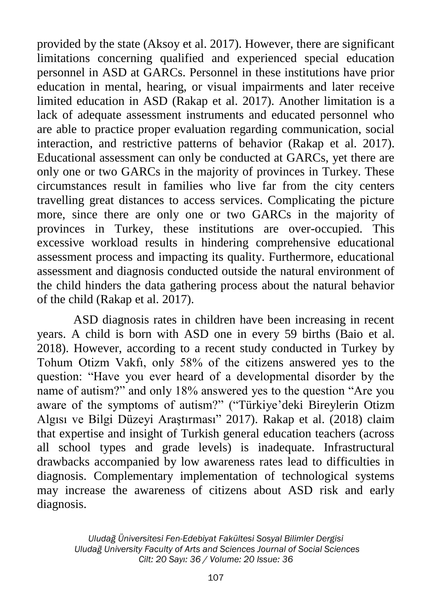provided by the state (Aksoy et al. 2017). However, there are significant limitations concerning qualified and experienced special education personnel in ASD at GARCs. Personnel in these institutions have prior education in mental, hearing, or visual impairments and later receive limited education in ASD (Rakap et al. 2017). Another limitation is a lack of adequate assessment instruments and educated personnel who are able to practice proper evaluation regarding communication, social interaction, and restrictive patterns of behavior (Rakap et al. 2017). Educational assessment can only be conducted at GARCs, yet there are only one or two GARCs in the majority of provinces in Turkey. These circumstances result in families who live far from the city centers travelling great distances to access services. Complicating the picture more, since there are only one or two GARCs in the majority of provinces in Turkey, these institutions are over-occupied. This excessive workload results in hindering comprehensive educational assessment process and impacting its quality. Furthermore, educational assessment and diagnosis conducted outside the natural environment of the child hinders the data gathering process about the natural behavior of the child (Rakap et al. 2017).

ASD diagnosis rates in children have been increasing in recent years. A child is born with ASD one in every 59 births (Baio et al. 2018). However, according to a recent study conducted in Turkey by Tohum Otizm Vakfı, only 58% of the citizens answered yes to the question: "Have you ever heard of a developmental disorder by the name of autism?" and only 18% answered yes to the question "Are you aware of the symptoms of autism?" ("Türkiye'deki Bireylerin Otizm Algısı ve Bilgi Düzeyi Araştırması" 2017). Rakap et al. (2018) claim that expertise and insight of Turkish general education teachers (across all school types and grade levels) is inadequate. Infrastructural drawbacks accompanied by low awareness rates lead to difficulties in diagnosis. Complementary implementation of technological systems may increase the awareness of citizens about ASD risk and early diagnosis.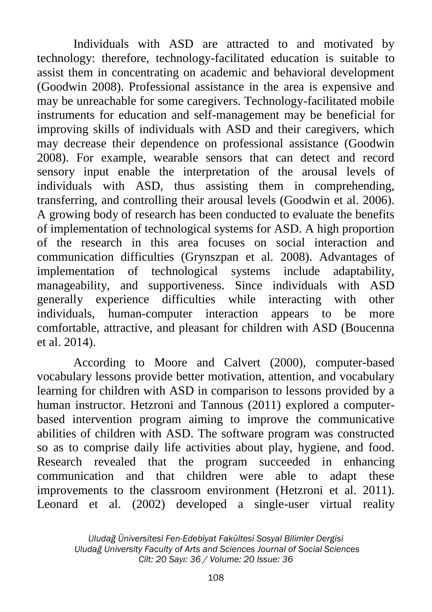Individuals with ASD are attracted to and motivated by technology: therefore, technology-facilitated education is suitable to assist them in concentrating on academic and behavioral development (Goodwin 2008). Professional assistance in the area is expensive and may be unreachable for some caregivers. Technology-facilitated mobile instruments for education and self-management may be beneficial for improving skills of individuals with ASD and their caregivers, which may decrease their dependence on professional assistance (Goodwin 2008). For example, wearable sensors that can detect and record sensory input enable the interpretation of the arousal levels of individuals with ASD, thus assisting them in comprehending, transferring, and controlling their arousal levels (Goodwin et al. 2006). A growing body of research has been conducted to evaluate the benefits of implementation of technological systems for ASD. A high proportion of the research in this area focuses on social interaction and communication difficulties (Grynszpan et al. 2008). Advantages of implementation of technological systems include adaptability, manageability, and supportiveness. Since individuals with ASD generally experience difficulties while interacting with other individuals, human-computer interaction appears to be more comfortable, attractive, and pleasant for children with ASD (Boucenna et al. 2014).

According to Moore and Calvert (2000), computer-based vocabulary lessons provide better motivation, attention, and vocabulary learning for children with ASD in comparison to lessons provided by a human instructor. Hetzroni and Tannous (2011) explored a computerbased intervention program aiming to improve the communicative abilities of children with ASD. The software program was constructed so as to comprise daily life activities about play, hygiene, and food. Research revealed that the program succeeded in enhancing communication and that children were able to adapt these improvements to the classroom environment (Hetzroni et al. 2011). Leonard et al. (2002) developed a single-user virtual reality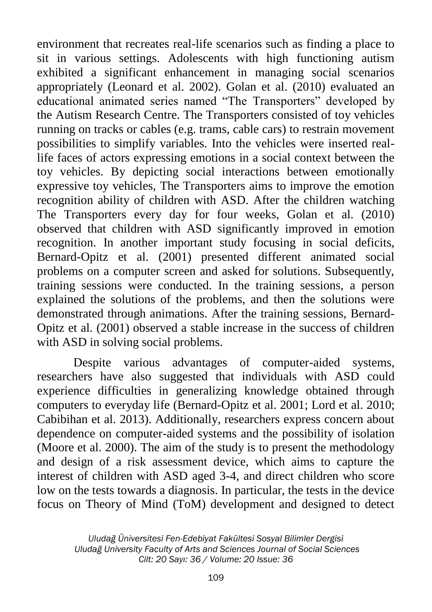environment that recreates real-life scenarios such as finding a place to sit in various settings. Adolescents with high functioning autism exhibited a significant enhancement in managing social scenarios appropriately (Leonard et al. 2002). Golan et al. (2010) evaluated an educational animated series named "The Transporters" developed by the Autism Research Centre. The Transporters consisted of toy vehicles running on tracks or cables (e.g. trams, cable cars) to restrain movement possibilities to simplify variables. Into the vehicles were inserted reallife faces of actors expressing emotions in a social context between the toy vehicles. By depicting social interactions between emotionally expressive toy vehicles, The Transporters aims to improve the emotion recognition ability of children with ASD. After the children watching The Transporters every day for four weeks, Golan et al. (2010) observed that children with ASD significantly improved in emotion recognition. In another important study focusing in social deficits, Bernard-Opitz et al. (2001) presented different animated social problems on a computer screen and asked for solutions. Subsequently, training sessions were conducted. In the training sessions, a person explained the solutions of the problems, and then the solutions were demonstrated through animations. After the training sessions, Bernard-Opitz et al. (2001) observed a stable increase in the success of children with ASD in solving social problems.

Despite various advantages of computer-aided systems, researchers have also suggested that individuals with ASD could experience difficulties in generalizing knowledge obtained through computers to everyday life (Bernard-Opitz et al. 2001; Lord et al. 2010; Cabibihan et al. 2013). Additionally, researchers express concern about dependence on computer-aided systems and the possibility of isolation (Moore et al. 2000). The aim of the study is to present the methodology and design of a risk assessment device, which aims to capture the interest of children with ASD aged 3-4, and direct children who score low on the tests towards a diagnosis. In particular, the tests in the device focus on Theory of Mind (ToM) development and designed to detect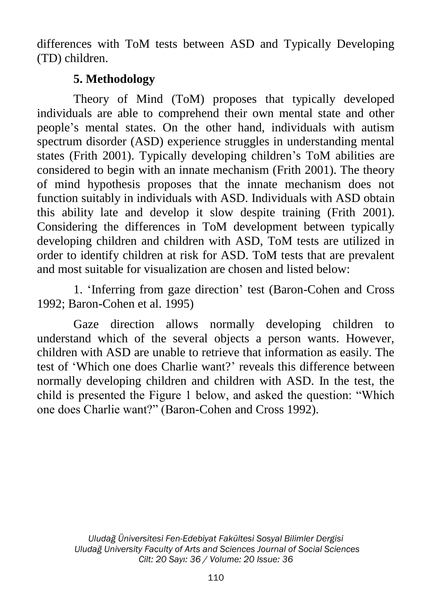differences with ToM tests between ASD and Typically Developing (TD) children.

## **5. Methodology**

Theory of Mind (ToM) proposes that typically developed individuals are able to comprehend their own mental state and other people's mental states. On the other hand, individuals with autism spectrum disorder (ASD) experience struggles in understanding mental states (Frith 2001). Typically developing children's ToM abilities are considered to begin with an innate mechanism (Frith 2001). The theory of mind hypothesis proposes that the innate mechanism does not function suitably in individuals with ASD. Individuals with ASD obtain this ability late and develop it slow despite training (Frith 2001). Considering the differences in ToM development between typically developing children and children with ASD, ToM tests are utilized in order to identify children at risk for ASD. ToM tests that are prevalent and most suitable for visualization are chosen and listed below:

1. 'Inferring from gaze direction' test (Baron-Cohen and Cross 1992; Baron-Cohen et al. 1995)

Gaze direction allows normally developing children to understand which of the several objects a person wants. However, children with ASD are unable to retrieve that information as easily. The test of 'Which one does Charlie want?' reveals this difference between normally developing children and children with ASD. In the test, the child is presented the Figure 1 below, and asked the question: "Which one does Charlie want?" (Baron-Cohen and Cross 1992).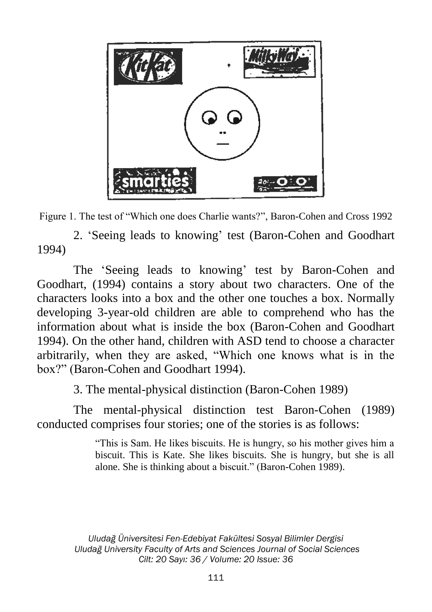



2. 'Seeing leads to knowing' test (Baron-Cohen and Goodhart 1994)

The 'Seeing leads to knowing' test by Baron-Cohen and Goodhart, (1994) contains a story about two characters. One of the characters looks into a box and the other one touches a box. Normally developing 3-year-old children are able to comprehend who has the information about what is inside the box (Baron-Cohen and Goodhart 1994). On the other hand, children with ASD tend to choose a character arbitrarily, when they are asked, "Which one knows what is in the box?" (Baron-Cohen and Goodhart 1994).

3. The mental-physical distinction (Baron-Cohen 1989)

The mental-physical distinction test Baron-Cohen (1989) conducted comprises four stories; one of the stories is as follows:

> "This is Sam. He likes biscuits. He is hungry, so his mother gives him a biscuit. This is Kate. She likes biscuits. She is hungry, but she is all alone. She is thinking about a biscuit." (Baron-Cohen 1989).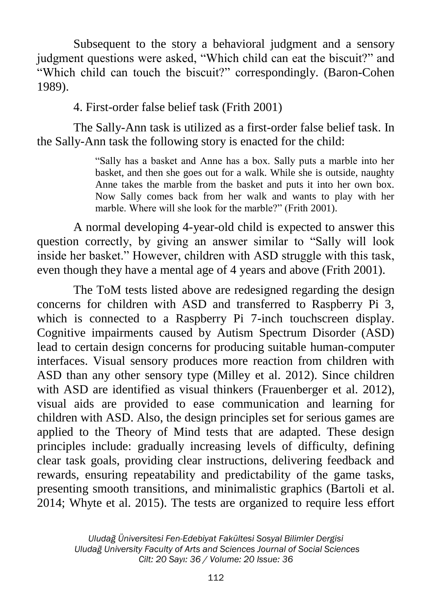Subsequent to the story a behavioral judgment and a sensory judgment questions were asked, "Which child can eat the biscuit?" and "Which child can touch the biscuit?" correspondingly. (Baron-Cohen 1989).

4. First-order false belief task (Frith 2001)

The Sally-Ann task is utilized as a first-order false belief task. In the Sally-Ann task the following story is enacted for the child:

> "Sally has a basket and Anne has a box. Sally puts a marble into her basket, and then she goes out for a walk. While she is outside, naughty Anne takes the marble from the basket and puts it into her own box. Now Sally comes back from her walk and wants to play with her marble. Where will she look for the marble?" (Frith 2001).

A normal developing 4-year-old child is expected to answer this question correctly, by giving an answer similar to "Sally will look inside her basket." However, children with ASD struggle with this task, even though they have a mental age of 4 years and above (Frith 2001).

The ToM tests listed above are redesigned regarding the design concerns for children with ASD and transferred to Raspberry Pi 3, which is connected to a Raspberry Pi 7-inch touchscreen display. Cognitive impairments caused by Autism Spectrum Disorder (ASD) lead to certain design concerns for producing suitable human-computer interfaces. Visual sensory produces more reaction from children with ASD than any other sensory type (Milley et al. 2012). Since children with ASD are identified as visual thinkers (Frauenberger et al. 2012), visual aids are provided to ease communication and learning for children with ASD. Also, the design principles set for serious games are applied to the Theory of Mind tests that are adapted. These design principles include: gradually increasing levels of difficulty, defining clear task goals, providing clear instructions, delivering feedback and rewards, ensuring repeatability and predictability of the game tasks, presenting smooth transitions, and minimalistic graphics (Bartoli et al. 2014; Whyte et al. 2015). The tests are organized to require less effort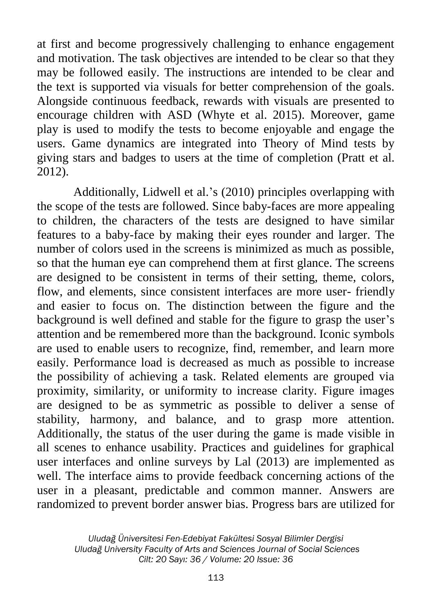at first and become progressively challenging to enhance engagement and motivation. The task objectives are intended to be clear so that they may be followed easily. The instructions are intended to be clear and the text is supported via visuals for better comprehension of the goals. Alongside continuous feedback, rewards with visuals are presented to encourage children with ASD (Whyte et al. 2015). Moreover, game play is used to modify the tests to become enjoyable and engage the users. Game dynamics are integrated into Theory of Mind tests by giving stars and badges to users at the time of completion (Pratt et al. 2012).

Additionally, Lidwell et al.'s (2010) principles overlapping with the scope of the tests are followed. Since baby-faces are more appealing to children, the characters of the tests are designed to have similar features to a baby-face by making their eyes rounder and larger. The number of colors used in the screens is minimized as much as possible, so that the human eye can comprehend them at first glance. The screens are designed to be consistent in terms of their setting, theme, colors, flow, and elements, since consistent interfaces are more user- friendly and easier to focus on. The distinction between the figure and the background is well defined and stable for the figure to grasp the user's attention and be remembered more than the background. Iconic symbols are used to enable users to recognize, find, remember, and learn more easily. Performance load is decreased as much as possible to increase the possibility of achieving a task. Related elements are grouped via proximity, similarity, or uniformity to increase clarity. Figure images are designed to be as symmetric as possible to deliver a sense of stability, harmony, and balance, and to grasp more attention. Additionally, the status of the user during the game is made visible in all scenes to enhance usability. Practices and guidelines for graphical user interfaces and online surveys by Lal (2013) are implemented as well. The interface aims to provide feedback concerning actions of the user in a pleasant, predictable and common manner. Answers are randomized to prevent border answer bias. Progress bars are utilized for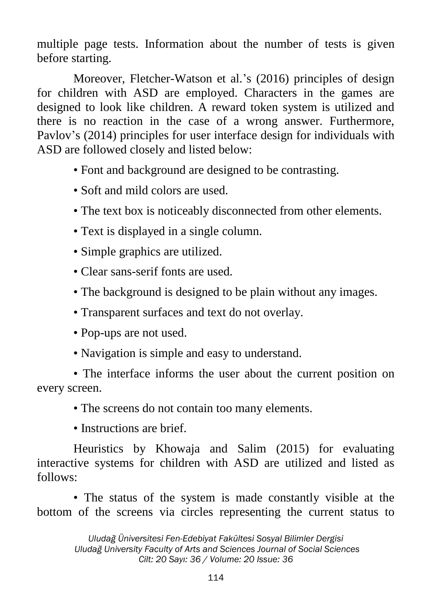multiple page tests. Information about the number of tests is given before starting.

Moreover, Fletcher-Watson et al.'s (2016) principles of design for children with ASD are employed. Characters in the games are designed to look like children. A reward token system is utilized and there is no reaction in the case of a wrong answer. Furthermore, Pavlov's (2014) principles for user interface design for individuals with ASD are followed closely and listed below:

- Font and background are designed to be contrasting.
- Soft and mild colors are used.
- The text box is noticeably disconnected from other elements.
- Text is displayed in a single column.
- Simple graphics are utilized.
- Clear sans-serif fonts are used.
- The background is designed to be plain without any images.
- Transparent surfaces and text do not overlay.
- Pop-ups are not used.
- Navigation is simple and easy to understand.

• The interface informs the user about the current position on every screen.

• The screens do not contain too many elements.

• Instructions are brief.

Heuristics by Khowaja and Salim (2015) for evaluating interactive systems for children with ASD are utilized and listed as follows:

• The status of the system is made constantly visible at the bottom of the screens via circles representing the current status to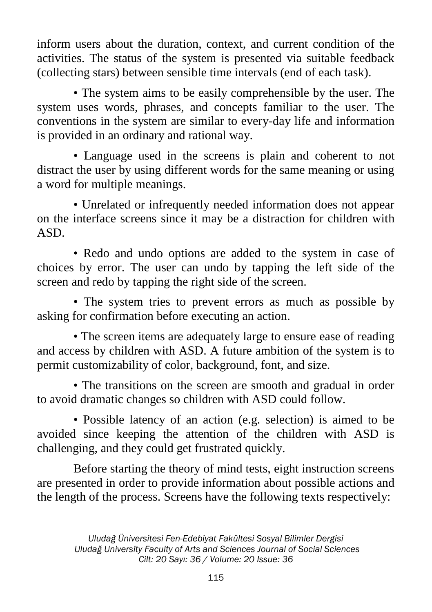inform users about the duration, context, and current condition of the activities. The status of the system is presented via suitable feedback (collecting stars) between sensible time intervals (end of each task).

• The system aims to be easily comprehensible by the user. The system uses words, phrases, and concepts familiar to the user. The conventions in the system are similar to every-day life and information is provided in an ordinary and rational way.

• Language used in the screens is plain and coherent to not distract the user by using different words for the same meaning or using a word for multiple meanings.

• Unrelated or infrequently needed information does not appear on the interface screens since it may be a distraction for children with ASD.

• Redo and undo options are added to the system in case of choices by error. The user can undo by tapping the left side of the screen and redo by tapping the right side of the screen.

• The system tries to prevent errors as much as possible by asking for confirmation before executing an action.

• The screen items are adequately large to ensure ease of reading and access by children with ASD. A future ambition of the system is to permit customizability of color, background, font, and size.

• The transitions on the screen are smooth and gradual in order to avoid dramatic changes so children with ASD could follow.

• Possible latency of an action (e.g. selection) is aimed to be avoided since keeping the attention of the children with ASD is challenging, and they could get frustrated quickly.

Before starting the theory of mind tests, eight instruction screens are presented in order to provide information about possible actions and the length of the process. Screens have the following texts respectively: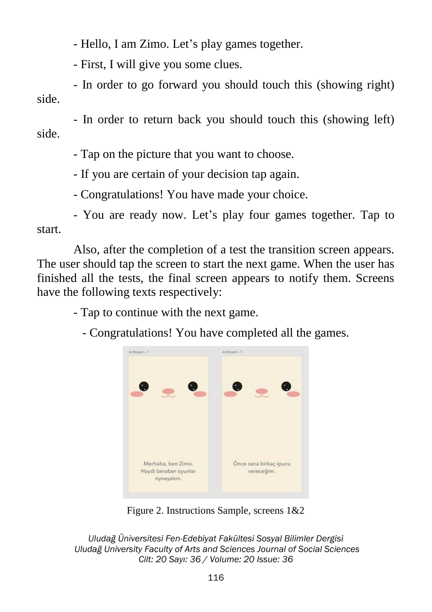- Hello, I am Zimo. Let's play games together.

- First, I will give you some clues.

- In order to go forward you should touch this (showing right) side.

- In order to return back you should touch this (showing left) side.

- Tap on the picture that you want to choose.

- If you are certain of your decision tap again.

- Congratulations! You have made your choice.

- You are ready now. Let's play four games together. Tap to start.

Also, after the completion of a test the transition screen appears. The user should tap the screen to start the next game. When the user has finished all the tests, the final screen appears to notify them. Screens have the following texts respectively:

- Tap to continue with the next game.

- Congratulations! You have completed all the games.



Figure 2. Instructions Sample, screens 1&2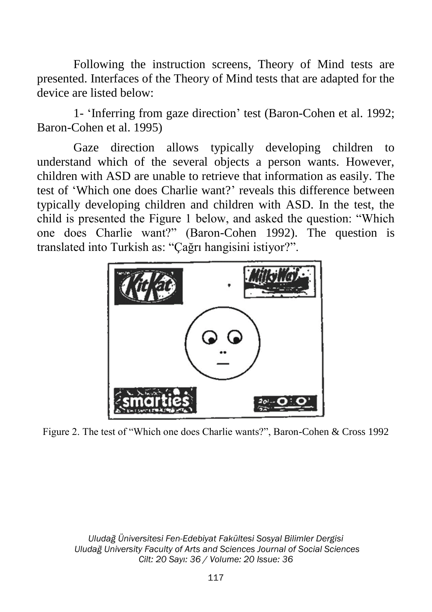Following the instruction screens, Theory of Mind tests are presented. Interfaces of the Theory of Mind tests that are adapted for the device are listed below:

1- 'Inferring from gaze direction' test (Baron-Cohen et al. 1992; Baron-Cohen et al. 1995)

Gaze direction allows typically developing children to understand which of the several objects a person wants. However, children with ASD are unable to retrieve that information as easily. The test of 'Which one does Charlie want?' reveals this difference between typically developing children and children with ASD. In the test, the child is presented the Figure 1 below, and asked the question: "Which one does Charlie want?" (Baron-Cohen 1992). The question is translated into Turkish as: "Çağrı hangisini istiyor?".



Figure 2. The test of "Which one does Charlie wants?", Baron-Cohen & Cross 1992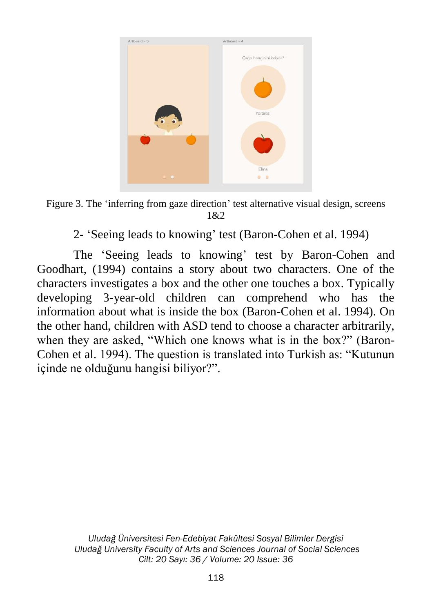

Figure 3. The 'inferring from gaze direction' test alternative visual design, screens 1&2

2- 'Seeing leads to knowing' test (Baron-Cohen et al. 1994)

The 'Seeing leads to knowing' test by Baron-Cohen and Goodhart, (1994) contains a story about two characters. One of the characters investigates a box and the other one touches a box. Typically developing 3-year-old children can comprehend who has the information about what is inside the box (Baron-Cohen et al. 1994). On the other hand, children with ASD tend to choose a character arbitrarily, when they are asked, "Which one knows what is in the box?" (Baron-Cohen et al. 1994). The question is translated into Turkish as: "Kutunun içinde ne olduğunu hangisi biliyor?".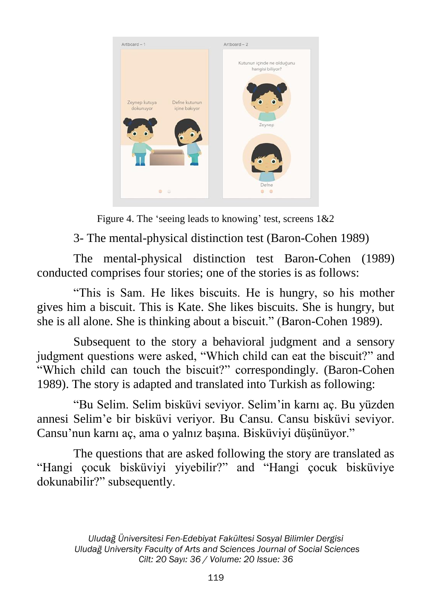

Figure 4. The 'seeing leads to knowing' test, screens 1&2

3- The mental-physical distinction test (Baron-Cohen 1989)

The mental-physical distinction test Baron-Cohen (1989) conducted comprises four stories; one of the stories is as follows:

"This is Sam. He likes biscuits. He is hungry, so his mother gives him a biscuit. This is Kate. She likes biscuits. She is hungry, but she is all alone. She is thinking about a biscuit." (Baron-Cohen 1989).

Subsequent to the story a behavioral judgment and a sensory judgment questions were asked, "Which child can eat the biscuit?" and "Which child can touch the biscuit?" correspondingly. (Baron-Cohen 1989). The story is adapted and translated into Turkish as following:

"Bu Selim. Selim bisküvi seviyor. Selim'in karnı aç. Bu yüzden annesi Selim'e bir bisküvi veriyor. Bu Cansu. Cansu bisküvi seviyor. Cansu'nun karnı aç, ama o yalnız başına. Bisküviyi düşünüyor."

The questions that are asked following the story are translated as "Hangi çocuk bisküviyi yiyebilir?" and "Hangi çocuk bisküviye dokunabilir?" subsequently.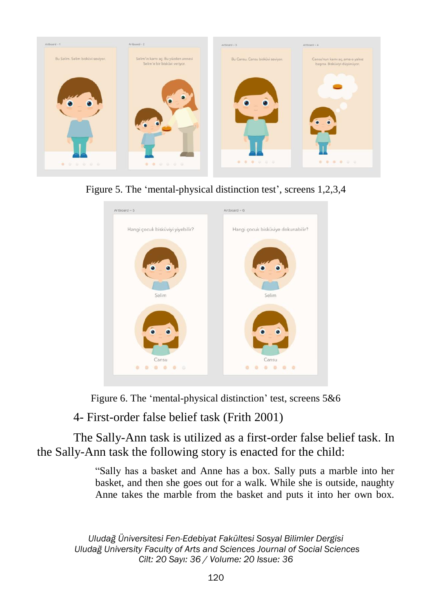

Figure 5. The 'mental-physical distinction test', screens 1,2,3,4



Figure 6. The 'mental-physical distinction' test, screens 5&6

4- First-order false belief task (Frith 2001)

The Sally-Ann task is utilized as a first-order false belief task. In the Sally-Ann task the following story is enacted for the child:

> "Sally has a basket and Anne has a box. Sally puts a marble into her basket, and then she goes out for a walk. While she is outside, naughty Anne takes the marble from the basket and puts it into her own box.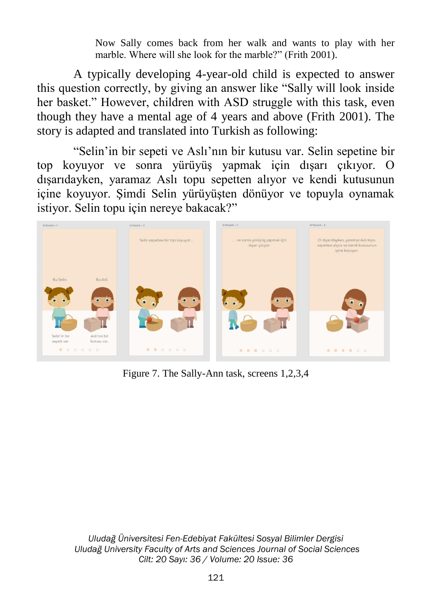Now Sally comes back from her walk and wants to play with her marble. Where will she look for the marble?" (Frith 2001).

A typically developing 4-year-old child is expected to answer this question correctly, by giving an answer like "Sally will look inside her basket." However, children with ASD struggle with this task, even though they have a mental age of 4 years and above (Frith 2001). The story is adapted and translated into Turkish as following:

"Selin'in bir sepeti ve Aslı'nın bir kutusu var. Selin sepetine bir top koyuyor ve sonra yürüyüş yapmak için dışarı çıkıyor. O dışarıdayken, yaramaz Aslı topu sepetten alıyor ve kendi kutusunun içine koyuyor. Şimdi Selin yürüyüşten dönüyor ve topuyla oynamak istiyor. Selin topu için nereye bakacak?"



Figure 7. The Sally-Ann task, screens 1,2,3,4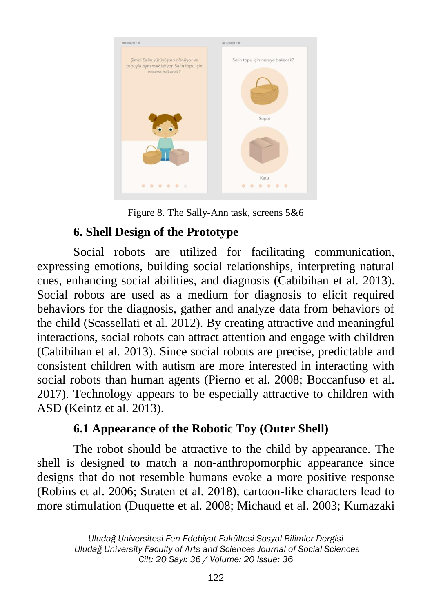

Figure 8. The Sally-Ann task, screens 5&6

# **6. Shell Design of the Prototype**

Social robots are utilized for facilitating communication, expressing emotions, building social relationships, interpreting natural cues, enhancing social abilities, and diagnosis (Cabibihan et al. 2013). Social robots are used as a medium for diagnosis to elicit required behaviors for the diagnosis, gather and analyze data from behaviors of the child (Scassellati et al. 2012). By creating attractive and meaningful interactions, social robots can attract attention and engage with children (Cabibihan et al. 2013). Since social robots are precise, predictable and consistent children with autism are more interested in interacting with social robots than human agents (Pierno et al. 2008; Boccanfuso et al. 2017). Technology appears to be especially attractive to children with ASD (Keintz et al. 2013).

# **6.1 Appearance of the Robotic Toy (Outer Shell)**

The robot should be attractive to the child by appearance. The shell is designed to match a non-anthropomorphic appearance since designs that do not resemble humans evoke a more positive response (Robins et al. 2006; Straten et al. 2018), cartoon-like characters lead to more stimulation (Duquette et al. 2008; Michaud et al. 2003; Kumazaki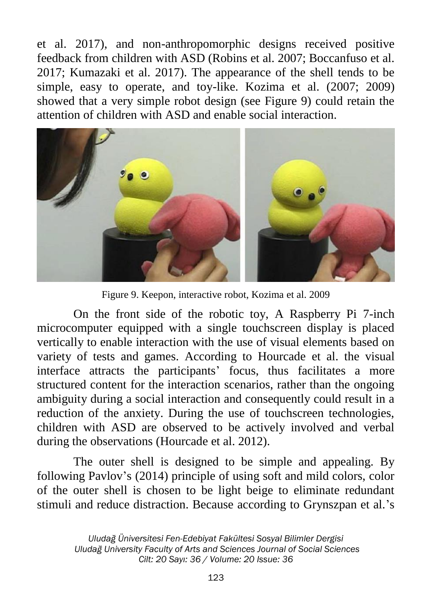et al. 2017), and non-anthropomorphic designs received positive feedback from children with ASD (Robins et al. 2007; Boccanfuso et al. 2017; Kumazaki et al. 2017). The appearance of the shell tends to be simple, easy to operate, and toy-like. Kozima et al. (2007; 2009) showed that a very simple robot design (see Figure 9) could retain the attention of children with ASD and enable social interaction.



Figure 9. Keepon, interactive robot, Kozima et al. 2009

On the front side of the robotic toy, A Raspberry Pi 7-inch microcomputer equipped with a single touchscreen display is placed vertically to enable interaction with the use of visual elements based on variety of tests and games. According to Hourcade et al. the visual interface attracts the participants' focus, thus facilitates a more structured content for the interaction scenarios, rather than the ongoing ambiguity during a social interaction and consequently could result in a reduction of the anxiety. During the use of touchscreen technologies, children with ASD are observed to be actively involved and verbal during the observations (Hourcade et al. 2012).

The outer shell is designed to be simple and appealing. By following Pavlov's (2014) principle of using soft and mild colors, color of the outer shell is chosen to be light beige to eliminate redundant stimuli and reduce distraction. Because according to Grynszpan et al.'s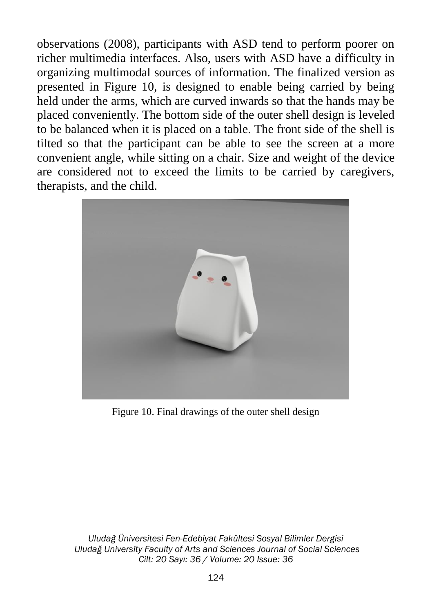observations (2008), participants with ASD tend to perform poorer on richer multimedia interfaces. Also, users with ASD have a difficulty in organizing multimodal sources of information. The finalized version as presented in Figure 10, is designed to enable being carried by being held under the arms, which are curved inwards so that the hands may be placed conveniently. The bottom side of the outer shell design is leveled to be balanced when it is placed on a table. The front side of the shell is tilted so that the participant can be able to see the screen at a more convenient angle, while sitting on a chair. Size and weight of the device are considered not to exceed the limits to be carried by caregivers, therapists, and the child.



Figure 10. Final drawings of the outer shell design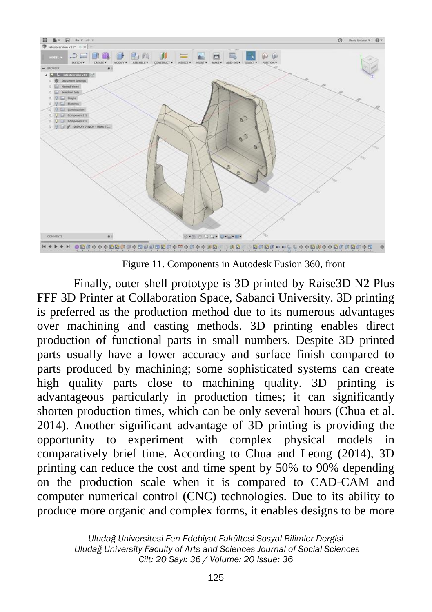

Figure 11. Components in Autodesk Fusion 360, front

Finally, outer shell prototype is 3D printed by Raise3D N2 Plus FFF 3D Printer at Collaboration Space, Sabanci University. 3D printing is preferred as the production method due to its numerous advantages over machining and casting methods. 3D printing enables direct production of functional parts in small numbers. Despite 3D printed parts usually have a lower accuracy and surface finish compared to parts produced by machining; some sophisticated systems can create high quality parts close to machining quality. 3D printing is advantageous particularly in production times; it can significantly shorten production times, which can be only several hours (Chua et al. 2014). Another significant advantage of 3D printing is providing the opportunity to experiment with complex physical models in comparatively brief time. According to Chua and Leong (2014), 3D printing can reduce the cost and time spent by 50% to 90% depending on the production scale when it is compared to CAD-CAM and computer numerical control (CNC) technologies. Due to its ability to produce more organic and complex forms, it enables designs to be more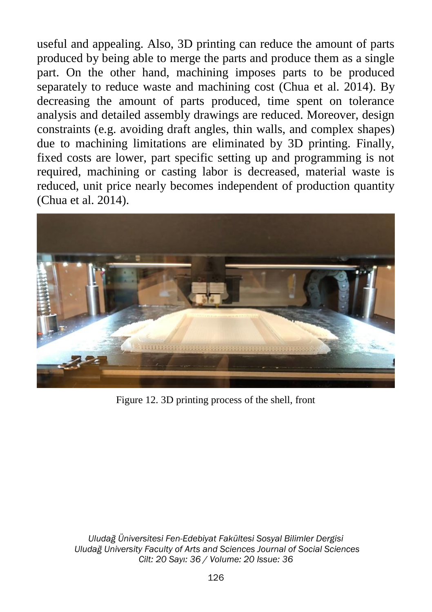useful and appealing. Also, 3D printing can reduce the amount of parts produced by being able to merge the parts and produce them as a single part. On the other hand, machining imposes parts to be produced separately to reduce waste and machining cost (Chua et al. 2014). By decreasing the amount of parts produced, time spent on tolerance analysis and detailed assembly drawings are reduced. Moreover, design constraints (e.g. avoiding draft angles, thin walls, and complex shapes) due to machining limitations are eliminated by 3D printing. Finally, fixed costs are lower, part specific setting up and programming is not required, machining or casting labor is decreased, material waste is reduced, unit price nearly becomes independent of production quantity (Chua et al. 2014).



Figure 12. 3D printing process of the shell, front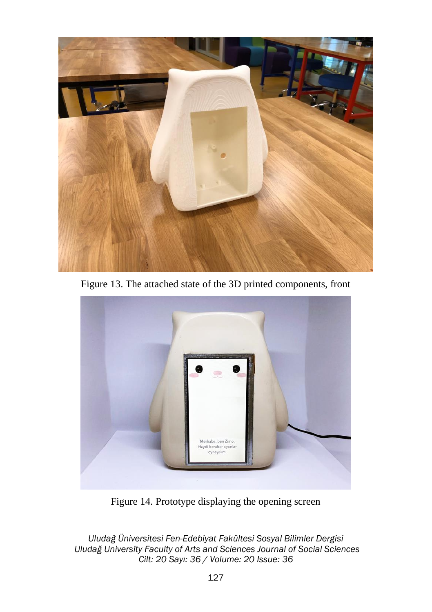

Figure 13. The attached state of the 3D printed components, front



Figure 14. Prototype displaying the opening screen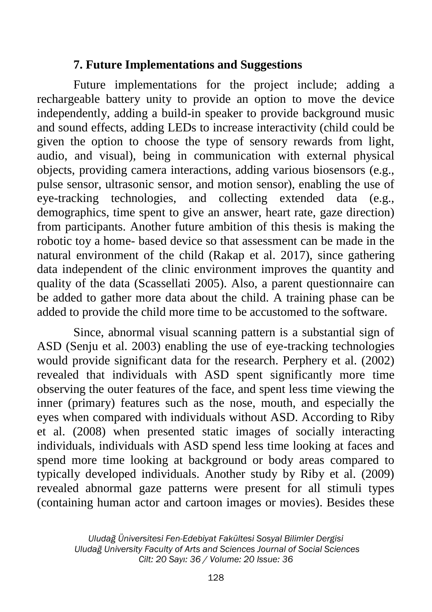### **7. Future Implementations and Suggestions**

Future implementations for the project include; adding a rechargeable battery unity to provide an option to move the device independently, adding a build-in speaker to provide background music and sound effects, adding LEDs to increase interactivity (child could be given the option to choose the type of sensory rewards from light, audio, and visual), being in communication with external physical objects, providing camera interactions, adding various biosensors (e.g., pulse sensor, ultrasonic sensor, and motion sensor), enabling the use of eye-tracking technologies, and collecting extended data (e.g., demographics, time spent to give an answer, heart rate, gaze direction) from participants. Another future ambition of this thesis is making the robotic toy a home- based device so that assessment can be made in the natural environment of the child (Rakap et al. 2017), since gathering data independent of the clinic environment improves the quantity and quality of the data (Scassellati 2005). Also, a parent questionnaire can be added to gather more data about the child. A training phase can be added to provide the child more time to be accustomed to the software.

Since, abnormal visual scanning pattern is a substantial sign of ASD (Senju et al. 2003) enabling the use of eye-tracking technologies would provide significant data for the research. Perphery et al. (2002) revealed that individuals with ASD spent significantly more time observing the outer features of the face, and spent less time viewing the inner (primary) features such as the nose, mouth, and especially the eyes when compared with individuals without ASD. According to Riby et al. (2008) when presented static images of socially interacting individuals, individuals with ASD spend less time looking at faces and spend more time looking at background or body areas compared to typically developed individuals. Another study by Riby et al. (2009) revealed abnormal gaze patterns were present for all stimuli types (containing human actor and cartoon images or movies). Besides these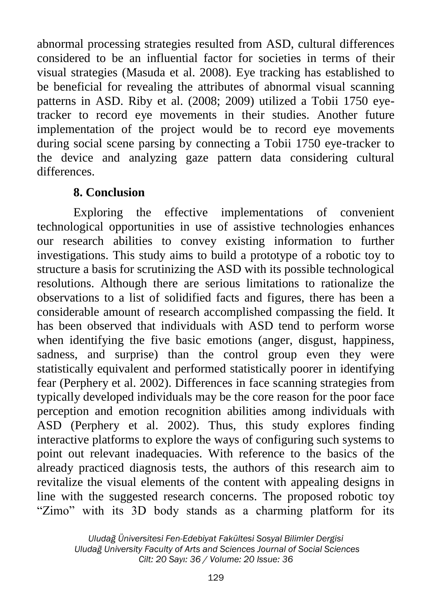abnormal processing strategies resulted from ASD, cultural differences considered to be an influential factor for societies in terms of their visual strategies (Masuda et al. 2008). Eye tracking has established to be beneficial for revealing the attributes of abnormal visual scanning patterns in ASD. Riby et al. (2008; 2009) utilized a Tobii 1750 eyetracker to record eye movements in their studies. Another future implementation of the project would be to record eye movements during social scene parsing by connecting a Tobii 1750 eye-tracker to the device and analyzing gaze pattern data considering cultural differences.

## **8. Conclusion**

Exploring the effective implementations of convenient technological opportunities in use of assistive technologies enhances our research abilities to convey existing information to further investigations. This study aims to build a prototype of a robotic toy to structure a basis for scrutinizing the ASD with its possible technological resolutions. Although there are serious limitations to rationalize the observations to a list of solidified facts and figures, there has been a considerable amount of research accomplished compassing the field. It has been observed that individuals with ASD tend to perform worse when identifying the five basic emotions (anger, disgust, happiness, sadness, and surprise) than the control group even they were statistically equivalent and performed statistically poorer in identifying fear (Perphery et al. 2002). Differences in face scanning strategies from typically developed individuals may be the core reason for the poor face perception and emotion recognition abilities among individuals with ASD (Perphery et al. 2002). Thus, this study explores finding interactive platforms to explore the ways of configuring such systems to point out relevant inadequacies. With reference to the basics of the already practiced diagnosis tests, the authors of this research aim to revitalize the visual elements of the content with appealing designs in line with the suggested research concerns. The proposed robotic toy "Zimo" with its 3D body stands as a charming platform for its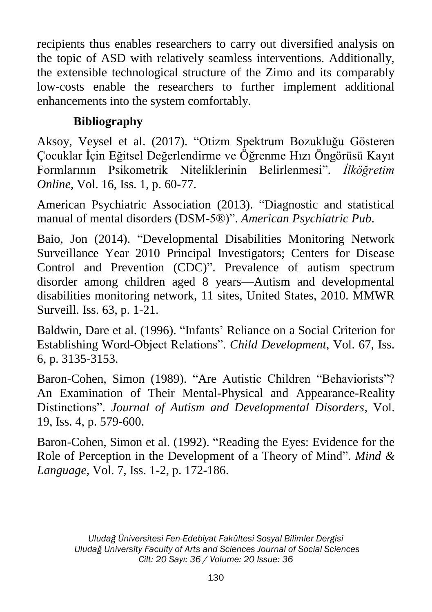recipients thus enables researchers to carry out diversified analysis on the topic of ASD with relatively seamless interventions. Additionally, the extensible technological structure of the Zimo and its comparably low-costs enable the researchers to further implement additional enhancements into the system comfortably.

# **Bibliography**

Aksoy, Veysel et al. (2017). "Otizm Spektrum Bozukluğu Gösteren Çocuklar İçin Eğitsel Değerlendirme ve Öğrenme Hızı Öngörüsü Kayıt Formlarının Psikometrik Niteliklerinin Belirlenmesi". *İlköğretim Online*, Vol. 16, Iss. 1, p. 60-77.

American Psychiatric Association (2013). "Diagnostic and statistical manual of mental disorders (DSM-5®)". *American Psychiatric Pub*.

Baio, Jon (2014). "Developmental Disabilities Monitoring Network Surveillance Year 2010 Principal Investigators; Centers for Disease Control and Prevention (CDC)". Prevalence of autism spectrum disorder among children aged 8 years—Autism and developmental disabilities monitoring network, 11 sites, United States, 2010. MMWR Surveill. Iss. 63, p. 1-21.

Baldwin, Dare et al. (1996). "Infants' Reliance on a Social Criterion for Establishing Word-Object Relations". *Child Development*, Vol. 67, Iss. 6, p. 3135-3153.

Baron-Cohen, Simon (1989). "Are Autistic Children "Behaviorists"? An Examination of Their Mental-Physical and Appearance-Reality Distinctions". *Journal of Autism and Developmental Disorders*, Vol. 19, Iss. 4, p. 579-600.

Baron-Cohen, Simon et al. (1992). "Reading the Eyes: Evidence for the Role of Perception in the Development of a Theory of Mind". *Mind & Language*, Vol. 7, Iss. 1-2, p. 172-186.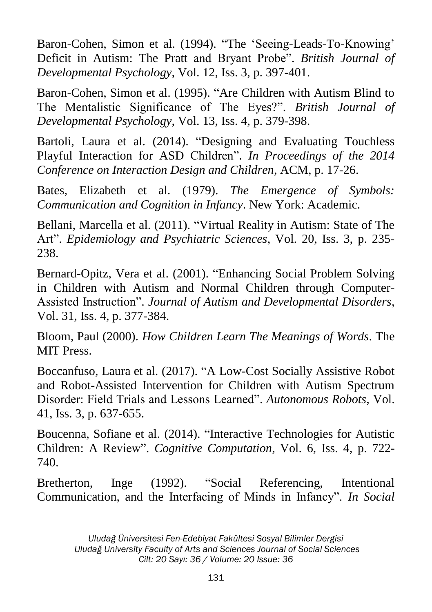Baron-Cohen, Simon et al. (1994). "The 'Seeing-Leads-To-Knowing' Deficit in Autism: The Pratt and Bryant Probe". *British Journal of Developmental Psychology*, Vol. 12, Iss. 3, p. 397-401.

Baron-Cohen, Simon et al. (1995). "Are Children with Autism Blind to The Mentalistic Significance of The Eyes?". *British Journal of Developmental Psychology*, Vol. 13, Iss. 4, p. 379-398.

Bartoli, Laura et al. (2014). "Designing and Evaluating Touchless Playful Interaction for ASD Children". *In Proceedings of the 2014 Conference on Interaction Design and Children*, ACM, p. 17-26.

Bates, Elizabeth et al. (1979). *The Emergence of Symbols: Communication and Cognition in Infancy*. New York: Academic.

Bellani, Marcella et al. (2011). "Virtual Reality in Autism: State of The Art". *Epidemiology and Psychiatric Sciences*, Vol. 20, Iss. 3, p. 235- 238.

Bernard-Opitz, Vera et al. (2001). "Enhancing Social Problem Solving in Children with Autism and Normal Children through Computer-Assisted Instruction". *Journal of Autism and Developmental Disorders*, Vol. 31, Iss. 4, p. 377-384.

Bloom, Paul (2000). *How Children Learn The Meanings of Words*. The MIT Press.

Boccanfuso, Laura et al. (2017). "A Low-Cost Socially Assistive Robot and Robot-Assisted Intervention for Children with Autism Spectrum Disorder: Field Trials and Lessons Learned". *Autonomous Robots*, Vol. 41, Iss. 3, p. 637-655.

Boucenna, Sofiane et al. (2014). "Interactive Technologies for Autistic Children: A Review". *Cognitive Computation*, Vol. 6, Iss. 4, p. 722- 740.

Bretherton, Inge (1992). "Social Referencing, Intentional Communication, and the Interfacing of Minds in Infancy". *In Social*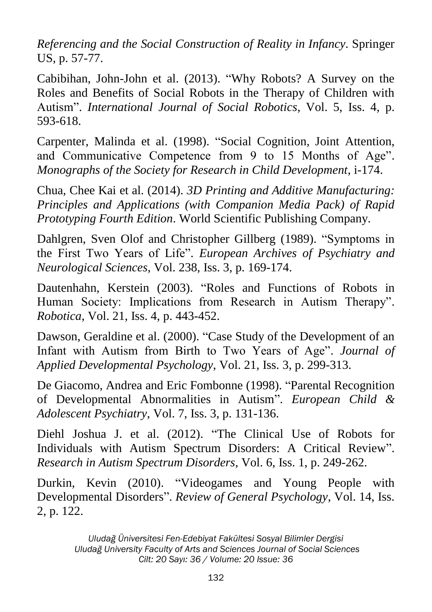*Referencing and the Social Construction of Reality in Infancy*. Springer US, p. 57-77.

Cabibihan, John-John et al. (2013). "Why Robots? A Survey on the Roles and Benefits of Social Robots in the Therapy of Children with Autism". *International Journal of Social Robotics*, Vol. 5, Iss. 4, p. 593-618.

Carpenter, Malinda et al. (1998). "Social Cognition, Joint Attention, and Communicative Competence from 9 to 15 Months of Age". *Monographs of the Society for Research in Child Development*, i-174.

Chua, Chee Kai et al. (2014). *3D Printing and Additive Manufacturing: Principles and Applications (with Companion Media Pack) of Rapid Prototyping Fourth Edition*. World Scientific Publishing Company.

Dahlgren, Sven Olof and Christopher Gillberg (1989). "Symptoms in the First Two Years of Life". *European Archives of Psychiatry and Neurological Sciences*, Vol. 238, Iss. 3, p. 169-174.

Dautenhahn, Kerstein (2003). "Roles and Functions of Robots in Human Society: Implications from Research in Autism Therapy". *Robotica*, Vol. 21, Iss. 4, p. 443-452.

Dawson, Geraldine et al. (2000). "Case Study of the Development of an Infant with Autism from Birth to Two Years of Age". *Journal of Applied Developmental Psychology*, Vol. 21, Iss. 3, p. 299-313.

De Giacomo, Andrea and Eric Fombonne (1998). "Parental Recognition of Developmental Abnormalities in Autism". *European Child & Adolescent Psychiatry*, Vol. 7, Iss. 3, p. 131-136.

Diehl Joshua J. et al. (2012). "The Clinical Use of Robots for Individuals with Autism Spectrum Disorders: A Critical Review". *Research in Autism Spectrum Disorders*, Vol. 6, Iss. 1, p. 249-262.

Durkin, Kevin (2010). "Videogames and Young People with Developmental Disorders". *Review of General Psychology*, Vol. 14, Iss. 2, p. 122.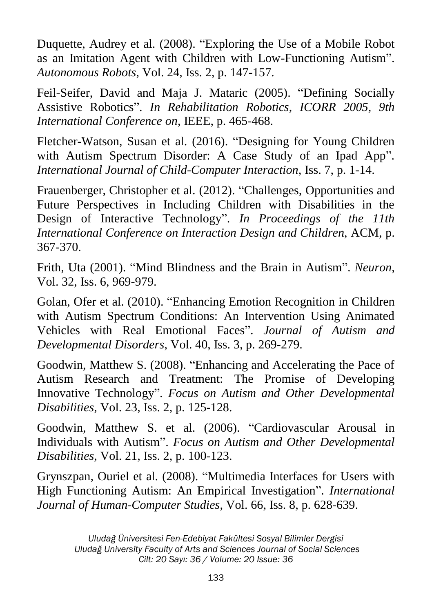Duquette, Audrey et al. (2008). "Exploring the Use of a Mobile Robot as an Imitation Agent with Children with Low-Functioning Autism". *Autonomous Robots*, Vol. 24, Iss. 2, p. 147-157.

Feil-Seifer, David and Maja J. Mataric (2005). "Defining Socially Assistive Robotics". *In Rehabilitation Robotics*, *ICORR 2005, 9th International Conference on*, IEEE, p. 465-468.

Fletcher-Watson, Susan et al. (2016). "Designing for Young Children with Autism Spectrum Disorder: A Case Study of an Ipad App". *International Journal of Child-Computer Interaction*, Iss. 7, p. 1-14.

Frauenberger, Christopher et al. (2012). "Challenges, Opportunities and Future Perspectives in Including Children with Disabilities in the Design of Interactive Technology". *In Proceedings of the 11th International Conference on Interaction Design and Children*, ACM, p. 367-370.

Frith, Uta (2001). "Mind Blindness and the Brain in Autism". *Neuron*, Vol. 32, Iss. 6, 969-979.

Golan, Ofer et al. (2010). "Enhancing Emotion Recognition in Children with Autism Spectrum Conditions: An Intervention Using Animated Vehicles with Real Emotional Faces". *Journal of Autism and Developmental Disorders*, Vol. 40, Iss. 3, p. 269-279.

Goodwin, Matthew S. (2008). "Enhancing and Accelerating the Pace of Autism Research and Treatment: The Promise of Developing Innovative Technology". *Focus on Autism and Other Developmental Disabilities*, Vol. 23, Iss. 2, p. 125-128.

Goodwin, Matthew S. et al. (2006). "Cardiovascular Arousal in Individuals with Autism". *Focus on Autism and Other Developmental Disabilities*, Vol. 21, Iss. 2, p. 100-123.

Grynszpan, Ouriel et al. (2008). "Multimedia Interfaces for Users with High Functioning Autism: An Empirical Investigation". *International Journal of Human-Computer Studies*, Vol. 66, Iss. 8, p. 628-639.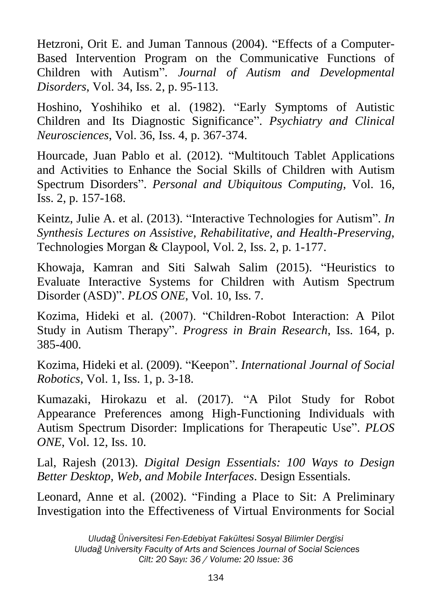Hetzroni, Orit E. and Juman Tannous (2004). "Effects of a Computer-Based Intervention Program on the Communicative Functions of Children with Autism". *Journal of Autism and Developmental Disorders*, Vol. 34, Iss. 2, p. 95-113.

Hoshino, Yoshihiko et al. (1982). "Early Symptoms of Autistic Children and Its Diagnostic Significance". *Psychiatry and Clinical Neurosciences*, Vol. 36, Iss. 4, p. 367-374.

Hourcade, Juan Pablo et al. (2012). "Multitouch Tablet Applications and Activities to Enhance the Social Skills of Children with Autism Spectrum Disorders". *Personal and Ubiquitous Computing*, Vol. 16, Iss. 2, p. 157-168.

Keintz, Julie A. et al. (2013). "Interactive Technologies for Autism". *In Synthesis Lectures on Assistive, Rehabilitative, and Health-Preserving*, Technologies Morgan & Claypool, Vol. 2, Iss. 2, p. 1-177.

Khowaja, Kamran and Siti Salwah Salim (2015). "Heuristics to Evaluate Interactive Systems for Children with Autism Spectrum Disorder (ASD)". *PLOS ONE*, Vol. 10, Iss. 7.

Kozima, Hideki et al. (2007). "Children-Robot Interaction: A Pilot Study in Autism Therapy". *Progress in Brain Research*, Iss. 164, p. 385-400.

Kozima, Hideki et al. (2009). "Keepon". *International Journal of Social Robotics*, Vol. 1, Iss. 1, p. 3-18.

Kumazaki, Hirokazu et al. (2017). "A Pilot Study for Robot Appearance Preferences among High-Functioning Individuals with Autism Spectrum Disorder: Implications for Therapeutic Use". *PLOS ONE*, Vol. 12, Iss. 10.

Lal, Rajesh (2013). *Digital Design Essentials: 100 Ways to Design Better Desktop, Web, and Mobile Interfaces*. Design Essentials.

Leonard, Anne et al. (2002). "Finding a Place to Sit: A Preliminary Investigation into the Effectiveness of Virtual Environments for Social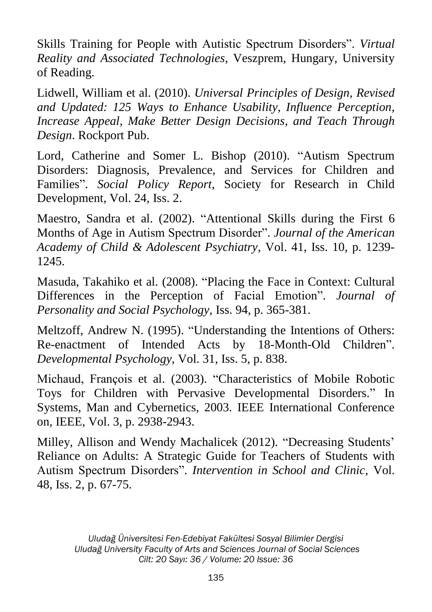Skills Training for People with Autistic Spectrum Disorders". *Virtual Reality and Associated Technologies*, Veszprem, Hungary, University of Reading.

Lidwell, William et al. (2010). *Universal Principles of Design, Revised and Updated: 125 Ways to Enhance Usability, Influence Perception, Increase Appeal, Make Better Design Decisions, and Teach Through Design*. Rockport Pub.

Lord, Catherine and Somer L. Bishop (2010). "Autism Spectrum Disorders: Diagnosis, Prevalence, and Services for Children and Families". *Social Policy Report*, Society for Research in Child Development, Vol. 24, Iss. 2.

Maestro, Sandra et al. (2002). "Attentional Skills during the First 6 Months of Age in Autism Spectrum Disorder". *Journal of the American Academy of Child & Adolescent Psychiatry*, Vol. 41, Iss. 10, p. 1239- 1245.

Masuda, Takahiko et al. (2008). "Placing the Face in Context: Cultural Differences in the Perception of Facial Emotion". *Journal of Personality and Social Psychology*, Iss. 94, p. 365-381.

Meltzoff, Andrew N. (1995). "Understanding the Intentions of Others: Re-enactment of Intended Acts by 18-Month-Old Children". *Developmental Psychology*, Vol. 31, Iss. 5, p. 838.

Michaud, François et al. (2003). "Characteristics of Mobile Robotic Toys for Children with Pervasive Developmental Disorders." In Systems, Man and Cybernetics, 2003. IEEE International Conference on, IEEE, Vol. 3, p. 2938-2943.

Milley, Allison and Wendy Machalicek (2012). "Decreasing Students' Reliance on Adults: A Strategic Guide for Teachers of Students with Autism Spectrum Disorders". *Intervention in School and Clinic*, Vol. 48, Iss. 2, p. 67-75.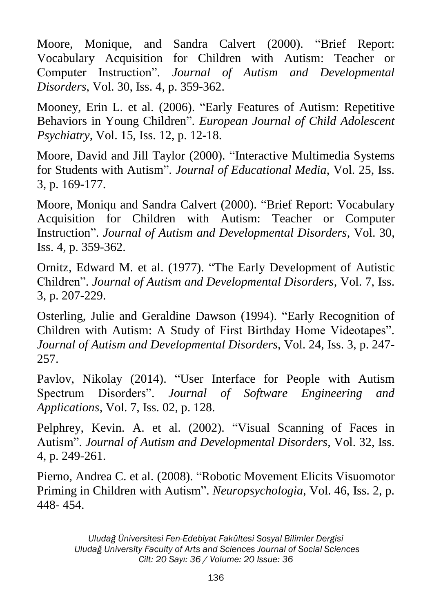Moore, Monique, and Sandra Calvert (2000). "Brief Report: Vocabulary Acquisition for Children with Autism: Teacher or Computer Instruction". *Journal of Autism and Developmental Disorders*, Vol. 30, Iss. 4, p. 359-362.

Mooney, Erin L. et al. (2006). "Early Features of Autism: Repetitive Behaviors in Young Children". *European Journal of Child Adolescent Psychiatry*, Vol. 15, Iss. 12, p. 12-18.

Moore, David and Jill Taylor (2000). "Interactive Multimedia Systems for Students with Autism". *Journal of Educational Media*, Vol. 25, Iss. 3, p. 169-177.

Moore, Moniqu and Sandra Calvert (2000). "Brief Report: Vocabulary Acquisition for Children with Autism: Teacher or Computer Instruction". *Journal of Autism and Developmental Disorders*, Vol. 30, Iss. 4, p. 359-362.

Ornitz, Edward M. et al. (1977). "The Early Development of Autistic Children". *Journal of Autism and Developmental Disorders*, Vol. 7, Iss. 3, p. 207-229.

Osterling, Julie and Geraldine Dawson (1994). "Early Recognition of Children with Autism: A Study of First Birthday Home Videotapes". *Journal of Autism and Developmental Disorders*, Vol. 24, Iss. 3, p. 247- 257.

Pavlov, Nikolay (2014). "User Interface for People with Autism Spectrum Disorders". *Journal of Software Engineering and Applications*, Vol. 7, Iss. 02, p. 128.

Pelphrey, Kevin. A. et al. (2002). "Visual Scanning of Faces in Autism". *Journal of Autism and Developmental Disorders*, Vol. 32, Iss. 4, p. 249-261.

Pierno, Andrea C. et al. (2008). "Robotic Movement Elicits Visuomotor Priming in Children with Autism". *Neuropsychologia*, Vol. 46, Iss. 2, p. 448- 454.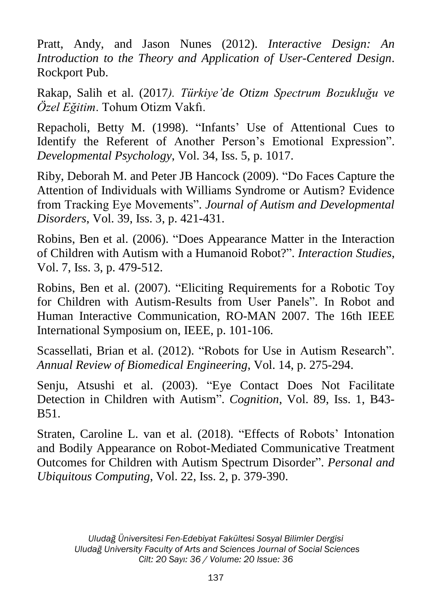Pratt, Andy, and Jason Nunes (2012). *Interactive Design: An Introduction to the Theory and Application of User-Centered Design*. Rockport Pub.

Rakap, Salih et al. (2017*). Türkiye'de Otizm Spectrum Bozukluğu ve Özel Eğitim*. Tohum Otizm Vakfı.

Repacholi, Betty M. (1998). "Infants' Use of Attentional Cues to Identify the Referent of Another Person's Emotional Expression". *Developmental Psychology*, Vol. 34, Iss. 5, p. 1017.

Riby, Deborah M. and Peter JB Hancock (2009). "Do Faces Capture the Attention of Individuals with Williams Syndrome or Autism? Evidence from Tracking Eye Movements". *Journal of Autism and Developmental Disorders*, Vol. 39, Iss. 3, p. 421-431.

Robins, Ben et al. (2006). "Does Appearance Matter in the Interaction of Children with Autism with a Humanoid Robot?". *Interaction Studies*, Vol. 7, Iss. 3, p. 479-512.

Robins, Ben et al. (2007). "Eliciting Requirements for a Robotic Toy for Children with Autism-Results from User Panels". In Robot and Human Interactive Communication, RO-MAN 2007. The 16th IEEE International Symposium on, IEEE, p. 101-106.

Scassellati, Brian et al. (2012). "Robots for Use in Autism Research". *Annual Review of Biomedical Engineering*, Vol. 14, p. 275-294.

Senju, Atsushi et al. (2003). "Eye Contact Does Not Facilitate Detection in Children with Autism". *Cognition*, Vol. 89, Iss. 1, B43- B51.

Straten, Caroline L. van et al. (2018). "Effects of Robots' Intonation and Bodily Appearance on Robot-Mediated Communicative Treatment Outcomes for Children with Autism Spectrum Disorder". *Personal and Ubiquitous Computing*, Vol. 22, Iss. 2, p. 379-390.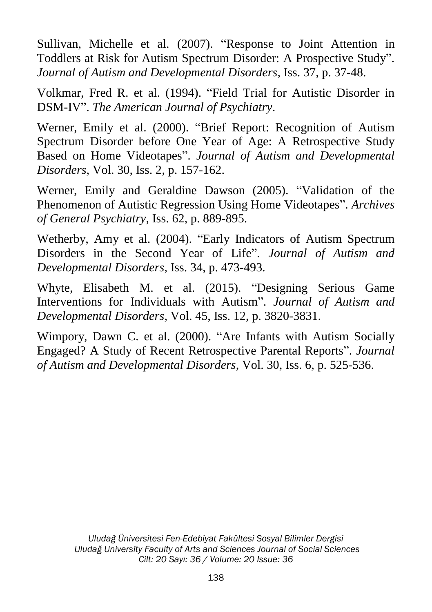Sullivan, Michelle et al. (2007). "Response to Joint Attention in Toddlers at Risk for Autism Spectrum Disorder: A Prospective Study". *Journal of Autism and Developmental Disorders*, Iss. 37, p. 37-48.

Volkmar, Fred R. et al. (1994). "Field Trial for Autistic Disorder in DSM-IV". *The American Journal of Psychiatry*.

Werner, Emily et al. (2000). "Brief Report: Recognition of Autism Spectrum Disorder before One Year of Age: A Retrospective Study Based on Home Videotapes". *Journal of Autism and Developmental Disorders*, Vol. 30, Iss. 2, p. 157-162.

Werner, Emily and Geraldine Dawson (2005). "Validation of the Phenomenon of Autistic Regression Using Home Videotapes". *Archives of General Psychiatry*, Iss. 62, p. 889-895.

Wetherby, Amy et al. (2004). "Early Indicators of Autism Spectrum Disorders in the Second Year of Life". *Journal of Autism and Developmental Disorders*, Iss. 34, p. 473-493.

Whyte, Elisabeth M. et al. (2015). "Designing Serious Game Interventions for Individuals with Autism". *Journal of Autism and Developmental Disorders*, Vol. 45, Iss. 12, p. 3820-3831.

Wimpory, Dawn C. et al. (2000). "Are Infants with Autism Socially Engaged? A Study of Recent Retrospective Parental Reports". *Journal of Autism and Developmental Disorders*, Vol. 30, Iss. 6, p. 525-536.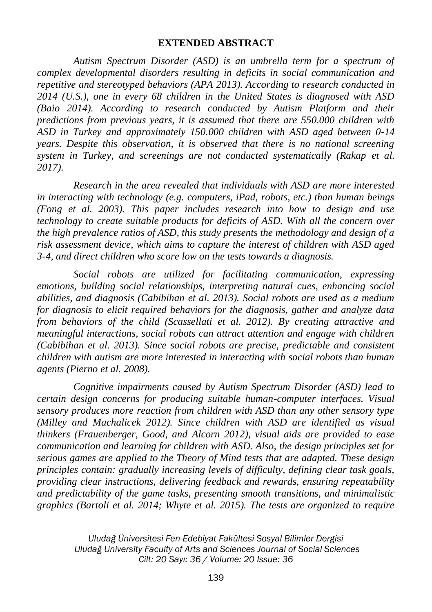#### **EXTENDED ABSTRACT**

*Autism Spectrum Disorder (ASD) is an umbrella term for a spectrum of complex developmental disorders resulting in deficits in social communication and repetitive and stereotyped behaviors (APA 2013). According to research conducted in 2014 (U.S.), one in every 68 children in the United States is diagnosed with ASD (Baio 2014). According to research conducted by Autism Platform and their predictions from previous years, it is assumed that there are 550.000 children with ASD in Turkey and approximately 150.000 children with ASD aged between 0-14 years. Despite this observation, it is observed that there is no national screening system in Turkey, and screenings are not conducted systematically (Rakap et al. 2017).* 

*Research in the area revealed that individuals with ASD are more interested in interacting with technology (e.g. computers, iPad, robots, etc.) than human beings (Fong et al. 2003). This paper includes research into how to design and use technology to create suitable products for deficits of ASD. With all the concern over the high prevalence ratios of ASD, this study presents the methodology and design of a risk assessment device, which aims to capture the interest of children with ASD aged 3-4, and direct children who score low on the tests towards a diagnosis.* 

*Social robots are utilized for facilitating communication, expressing emotions, building social relationships, interpreting natural cues, enhancing social abilities, and diagnosis (Cabibihan et al. 2013). Social robots are used as a medium for diagnosis to elicit required behaviors for the diagnosis, gather and analyze data from behaviors of the child (Scassellati et al. 2012). By creating attractive and meaningful interactions, social robots can attract attention and engage with children (Cabibihan et al. 2013). Since social robots are precise, predictable and consistent children with autism are more interested in interacting with social robots than human agents (Pierno et al. 2008).*

*Cognitive impairments caused by Autism Spectrum Disorder (ASD) lead to certain design concerns for producing suitable human-computer interfaces. Visual sensory produces more reaction from children with ASD than any other sensory type (Milley and Machalicek 2012). Since children with ASD are identified as visual thinkers (Frauenberger, Good, and Alcorn 2012), visual aids are provided to ease communication and learning for children with ASD. Also, the design principles set for serious games are applied to the Theory of Mind tests that are adapted. These design principles contain: gradually increasing levels of difficulty, defining clear task goals, providing clear instructions, delivering feedback and rewards, ensuring repeatability and predictability of the game tasks, presenting smooth transitions, and minimalistic graphics (Bartoli et al. 2014; Whyte et al. 2015). The tests are organized to require*